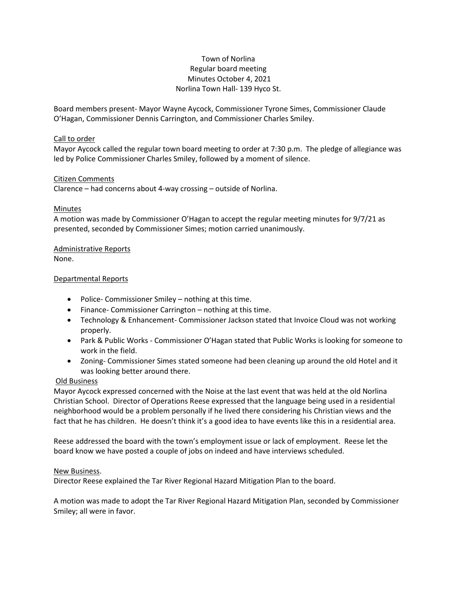# Town of Norlina Regular board meeting Minutes October 4, 2021 Norlina Town Hall- 139 Hyco St.

Board members present- Mayor Wayne Aycock, Commissioner Tyrone Simes, Commissioner Claude O'Hagan, Commissioner Dennis Carrington, and Commissioner Charles Smiley.

### Call to order

Mayor Aycock called the regular town board meeting to order at 7:30 p.m. The pledge of allegiance was led by Police Commissioner Charles Smiley, followed by a moment of silence.

### Citizen Comments

Clarence – had concerns about 4-way crossing – outside of Norlina.

# Minutes

A motion was made by Commissioner O'Hagan to accept the regular meeting minutes for 9/7/21 as presented, seconded by Commissioner Simes; motion carried unanimously.

# Administrative Reports

None.

### Departmental Reports

- Police- Commissioner Smiley nothing at this time.
- Finance- Commissioner Carrington nothing at this time.
- Technology & Enhancement- Commissioner Jackson stated that Invoice Cloud was not working properly.
- Park & Public Works Commissioner O'Hagan stated that Public Works is looking for someone to work in the field.
- Zoning- Commissioner Simes stated someone had been cleaning up around the old Hotel and it was looking better around there.

# Old Business

Mayor Aycock expressed concerned with the Noise at the last event that was held at the old Norlina Christian School. Director of Operations Reese expressed that the language being used in a residential neighborhood would be a problem personally if he lived there considering his Christian views and the fact that he has children. He doesn't think it's a good idea to have events like this in a residential area.

Reese addressed the board with the town's employment issue or lack of employment. Reese let the board know we have posted a couple of jobs on indeed and have interviews scheduled.

#### New Business.

Director Reese explained the Tar River Regional Hazard Mitigation Plan to the board.

A motion was made to adopt the Tar River Regional Hazard Mitigation Plan, seconded by Commissioner Smiley; all were in favor.